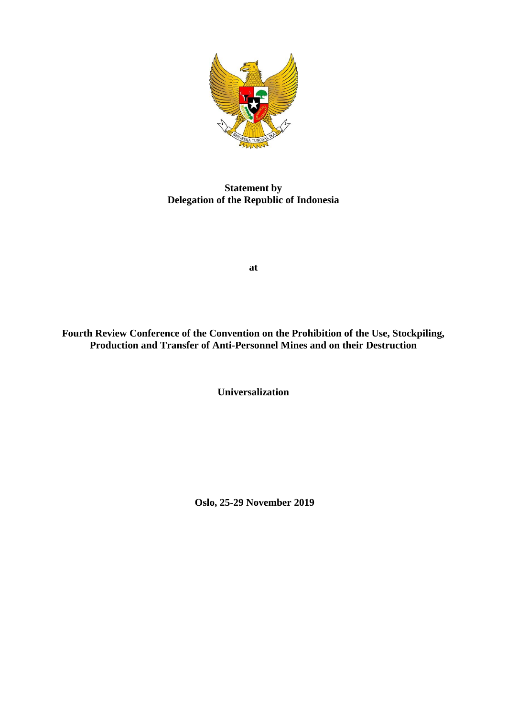

**Statement by Delegation of the Republic of Indonesia**

**at**

**Fourth Review Conference of the Convention on the Prohibition of the Use, Stockpiling, Production and Transfer of Anti-Personnel Mines and on their Destruction**

**Universalization**

**Oslo, 25-29 November 2019**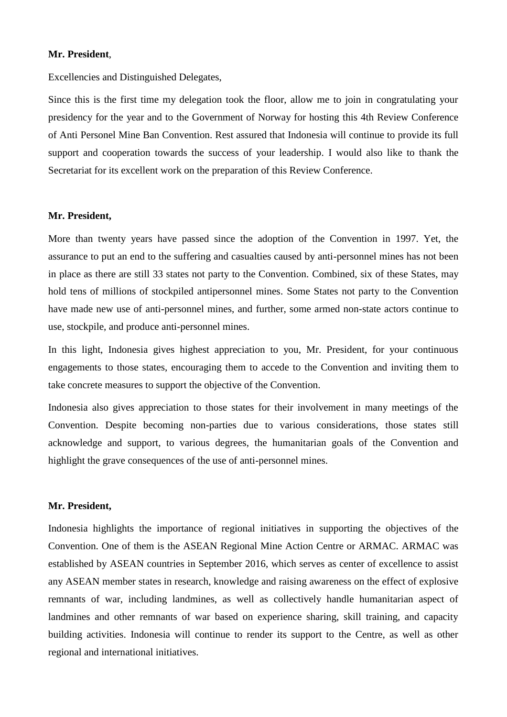## **Mr. President**,

Excellencies and Distinguished Delegates,

Since this is the first time my delegation took the floor, allow me to join in congratulating your presidency for the year and to the Government of Norway for hosting this 4th Review Conference of Anti Personel Mine Ban Convention. Rest assured that Indonesia will continue to provide its full support and cooperation towards the success of your leadership. I would also like to thank the Secretariat for its excellent work on the preparation of this Review Conference.

## **Mr. President,**

More than twenty years have passed since the adoption of the Convention in 1997. Yet, the assurance to put an end to the suffering and casualties caused by anti-personnel mines has not been in place as there are still 33 states not party to the Convention. Combined, six of these States, may hold tens of millions of stockpiled antipersonnel mines. Some States not party to the Convention have made new use of anti-personnel mines, and further, some armed non-state actors continue to use, stockpile, and produce anti-personnel mines.

In this light, Indonesia gives highest appreciation to you, Mr. President, for your continuous engagements to those states, encouraging them to accede to the Convention and inviting them to take concrete measures to support the objective of the Convention.

Indonesia also gives appreciation to those states for their involvement in many meetings of the Convention. Despite becoming non-parties due to various considerations, those states still acknowledge and support, to various degrees, the humanitarian goals of the Convention and highlight the grave consequences of the use of anti-personnel mines.

## **Mr. President,**

Indonesia highlights the importance of regional initiatives in supporting the objectives of the Convention. One of them is the ASEAN Regional Mine Action Centre or ARMAC. ARMAC was established by ASEAN countries in September 2016, which serves as center of excellence to assist any ASEAN member states in research, knowledge and raising awareness on the effect of explosive remnants of war, including landmines, as well as collectively handle humanitarian aspect of landmines and other remnants of war based on experience sharing, skill training, and capacity building activities. Indonesia will continue to render its support to the Centre, as well as other regional and international initiatives.